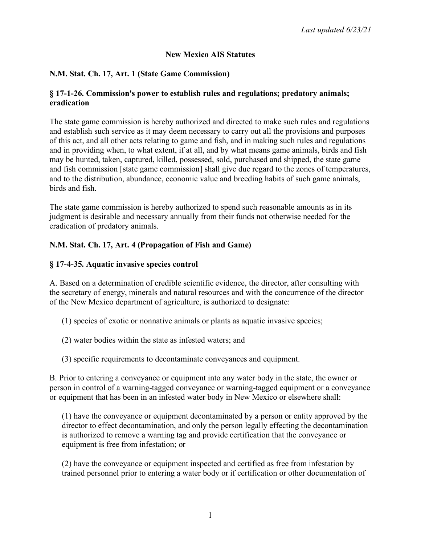# **New Mexico AIS Statutes**

# **N.M. Stat. Ch. 17, Art. 1 (State Game Commission)**

#### **§ 17-1-26. Commission's power to establish rules and regulations; predatory animals; eradication**

The state game commission is hereby authorized and directed to make such rules and regulations and establish such service as it may deem necessary to carry out all the provisions and purposes of this act, and all other acts relating to game and fish, and in making such rules and regulations and in providing when, to what extent, if at all, and by what means game animals, birds and fish may be hunted, taken, captured, killed, possessed, sold, purchased and shipped, the state game and fish commission [state game commission] shall give due regard to the zones of temperatures, and to the distribution, abundance, economic value and breeding habits of such game animals, birds and fish.

The state game commission is hereby authorized to spend such reasonable amounts as in its judgment is desirable and necessary annually from their funds not otherwise needed for the eradication of predatory animals.

## **N.M. Stat. Ch. 17, Art. 4 (Propagation of Fish and Game)**

## **§ 17-4-35. Aquatic invasive species control**

A. Based on a determination of credible scientific evidence, the director, after consulting with the secretary of energy, minerals and natural resources and with the concurrence of the director of the New Mexico department of agriculture, is authorized to designate:

- (1) species of exotic or nonnative animals or plants as aquatic invasive species;
- (2) water bodies within the state as infested waters; and
- (3) specific requirements to decontaminate conveyances and equipment.

B. Prior to entering a conveyance or equipment into any water body in the state, the owner or person in control of a warning-tagged conveyance or warning-tagged equipment or a conveyance or equipment that has been in an infested water body in New Mexico or elsewhere shall:

(1) have the conveyance or equipment decontaminated by a person or entity approved by the director to effect decontamination, and only the person legally effecting the decontamination is authorized to remove a warning tag and provide certification that the conveyance or equipment is free from infestation; or

(2) have the conveyance or equipment inspected and certified as free from infestation by trained personnel prior to entering a water body or if certification or other documentation of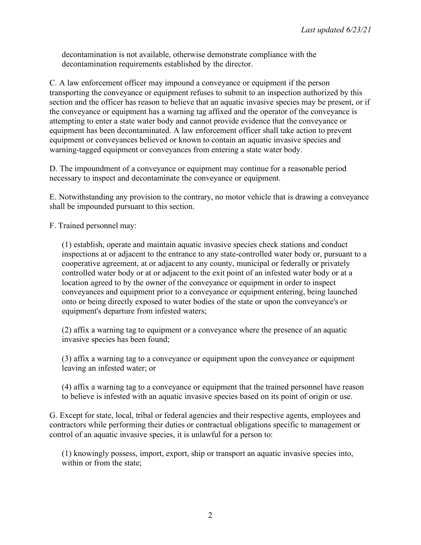decontamination is not available, otherwise demonstrate compliance with the decontamination requirements established by the director.

C. A law enforcement officer may impound a conveyance or equipment if the person transporting the conveyance or equipment refuses to submit to an inspection authorized by this section and the officer has reason to believe that an aquatic invasive species may be present, or if the conveyance or equipment has a warning tag affixed and the operator of the conveyance is attempting to enter a state water body and cannot provide evidence that the conveyance or equipment has been decontaminated. A law enforcement officer shall take action to prevent equipment or conveyances believed or known to contain an aquatic invasive species and warning-tagged equipment or conveyances from entering a state water body.

D. The impoundment of a conveyance or equipment may continue for a reasonable period necessary to inspect and decontaminate the conveyance or equipment.

E. Notwithstanding any provision to the contrary, no motor vehicle that is drawing a conveyance shall be impounded pursuant to this section.

F. Trained personnel may:

(1) establish, operate and maintain aquatic invasive species check stations and conduct inspections at or adjacent to the entrance to any state-controlled water body or, pursuant to a cooperative agreement, at or adjacent to any county, municipal or federally or privately controlled water body or at or adjacent to the exit point of an infested water body or at a location agreed to by the owner of the conveyance or equipment in order to inspect conveyances and equipment prior to a conveyance or equipment entering, being launched onto or being directly exposed to water bodies of the state or upon the conveyance's or equipment's departure from infested waters;

(2) affix a warning tag to equipment or a conveyance where the presence of an aquatic invasive species has been found;

(3) affix a warning tag to a conveyance or equipment upon the conveyance or equipment leaving an infested water; or

(4) affix a warning tag to a conveyance or equipment that the trained personnel have reason to believe is infested with an aquatic invasive species based on its point of origin or use.

G. Except for state, local, tribal or federal agencies and their respective agents, employees and contractors while performing their duties or contractual obligations specific to management or control of an aquatic invasive species, it is unlawful for a person to:

(1) knowingly possess, import, export, ship or transport an aquatic invasive species into, within or from the state;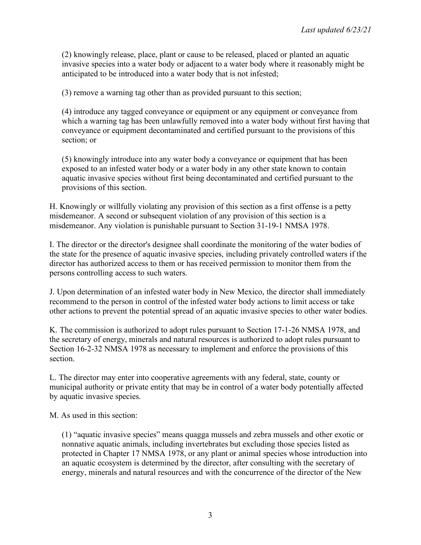(2) knowingly release, place, plant or cause to be released, placed or planted an aquatic invasive species into a water body or adjacent to a water body where it reasonably might be anticipated to be introduced into a water body that is not infested;

(3) remove a warning tag other than as provided pursuant to this section;

(4) introduce any tagged conveyance or equipment or any equipment or conveyance from which a warning tag has been unlawfully removed into a water body without first having that conveyance or equipment decontaminated and certified pursuant to the provisions of this section; or

(5) knowingly introduce into any water body a conveyance or equipment that has been exposed to an infested water body or a water body in any other state known to contain aquatic invasive species without first being decontaminated and certified pursuant to the provisions of this section.

H. Knowingly or willfully violating any provision of this section as a first offense is a petty misdemeanor. A second or subsequent violation of any provision of this section is a misdemeanor. Any violation is punishable pursuant to Section 31-19-1 NMSA 1978.

I. The director or the director's designee shall coordinate the monitoring of the water bodies of the state for the presence of aquatic invasive species, including privately controlled waters if the director has authorized access to them or has received permission to monitor them from the persons controlling access to such waters.

J. Upon determination of an infested water body in New Mexico, the director shall immediately recommend to the person in control of the infested water body actions to limit access or take other actions to prevent the potential spread of an aquatic invasive species to other water bodies.

K. The commission is authorized to adopt rules pursuant to Section 17-1-26 NMSA 1978, and the secretary of energy, minerals and natural resources is authorized to adopt rules pursuant to Section 16-2-32 NMSA 1978 as necessary to implement and enforce the provisions of this section.

L. The director may enter into cooperative agreements with any federal, state, county or municipal authority or private entity that may be in control of a water body potentially affected by aquatic invasive species.

M. As used in this section:

(1) "aquatic invasive species" means quagga mussels and zebra mussels and other exotic or nonnative aquatic animals, including invertebrates but excluding those species listed as protected in Chapter 17 NMSA 1978, or any plant or animal species whose introduction into an aquatic ecosystem is determined by the director, after consulting with the secretary of energy, minerals and natural resources and with the concurrence of the director of the New